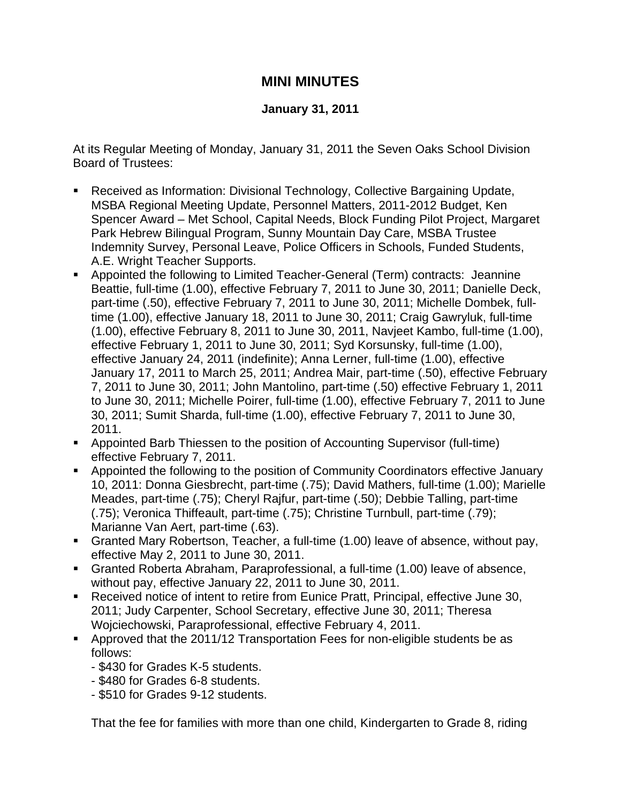## **MINI MINUTES**

## **January 31, 2011**

At its Regular Meeting of Monday, January 31, 2011 the Seven Oaks School Division Board of Trustees:

- Received as Information: Divisional Technology, Collective Bargaining Update, MSBA Regional Meeting Update, Personnel Matters, 2011-2012 Budget, Ken Spencer Award – Met School, Capital Needs, Block Funding Pilot Project, Margaret Park Hebrew Bilingual Program, Sunny Mountain Day Care, MSBA Trustee Indemnity Survey, Personal Leave, Police Officers in Schools, Funded Students, A.E. Wright Teacher Supports.
- Appointed the following to Limited Teacher-General (Term) contracts: Jeannine Beattie, full-time (1.00), effective February 7, 2011 to June 30, 2011; Danielle Deck, part-time (.50), effective February 7, 2011 to June 30, 2011; Michelle Dombek, fulltime (1.00), effective January 18, 2011 to June 30, 2011; Craig Gawryluk, full-time (1.00), effective February 8, 2011 to June 30, 2011, Navjeet Kambo, full-time (1.00), effective February 1, 2011 to June 30, 2011; Syd Korsunsky, full-time (1.00), effective January 24, 2011 (indefinite); Anna Lerner, full-time (1.00), effective January 17, 2011 to March 25, 2011; Andrea Mair, part-time (.50), effective February 7, 2011 to June 30, 2011; John Mantolino, part-time (.50) effective February 1, 2011 to June 30, 2011; Michelle Poirer, full-time (1.00), effective February 7, 2011 to June 30, 2011; Sumit Sharda, full-time (1.00), effective February 7, 2011 to June 30, 2011.
- Appointed Barb Thiessen to the position of Accounting Supervisor (full-time) effective February 7, 2011.
- Appointed the following to the position of Community Coordinators effective January 10, 2011: Donna Giesbrecht, part-time (.75); David Mathers, full-time (1.00); Marielle Meades, part-time (.75); Cheryl Rajfur, part-time (.50); Debbie Talling, part-time (.75); Veronica Thiffeault, part-time (.75); Christine Turnbull, part-time (.79); Marianne Van Aert, part-time (.63).
- Granted Mary Robertson, Teacher, a full-time (1.00) leave of absence, without pay, effective May 2, 2011 to June 30, 2011.
- Granted Roberta Abraham, Paraprofessional, a full-time (1.00) leave of absence, without pay, effective January 22, 2011 to June 30, 2011.
- Received notice of intent to retire from Eunice Pratt, Principal, effective June 30, 2011; Judy Carpenter, School Secretary, effective June 30, 2011; Theresa Wojciechowski, Paraprofessional, effective February 4, 2011.
- Approved that the 2011/12 Transportation Fees for non-eligible students be as follows:
	- \$430 for Grades K-5 students.
	- \$480 for Grades 6-8 students.
	- \$510 for Grades 9-12 students.

That the fee for families with more than one child, Kindergarten to Grade 8, riding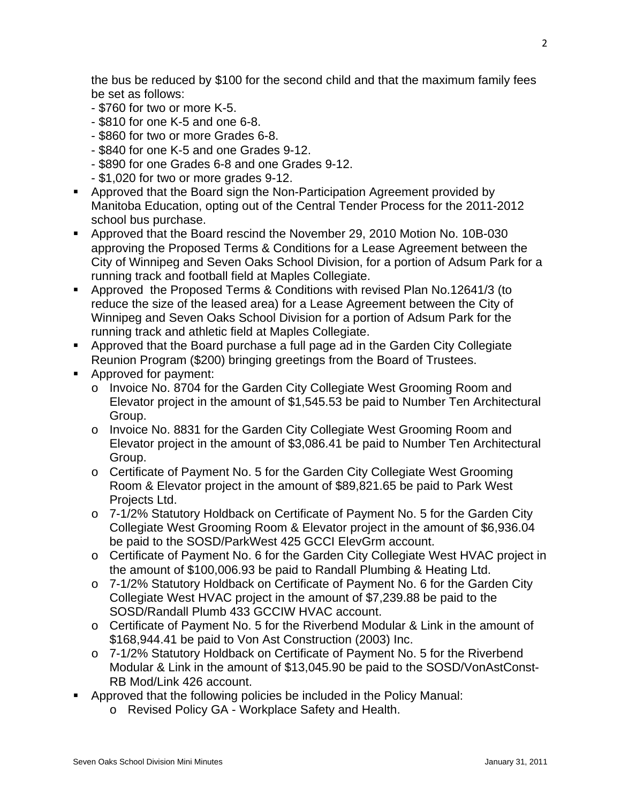the bus be reduced by \$100 for the second child and that the maximum family fees be set as follows:

- \$760 for two or more K-5.
- \$810 for one K-5 and one 6-8.
- \$860 for two or more Grades 6-8.
- \$840 for one K-5 and one Grades 9-12.
- \$890 for one Grades 6-8 and one Grades 9-12.
- \$1,020 for two or more grades 9-12.
- Approved that the Board sign the Non-Participation Agreement provided by Manitoba Education, opting out of the Central Tender Process for the 2011-2012 school bus purchase.
- Approved that the Board rescind the November 29, 2010 Motion No. 10B-030 approving the Proposed Terms & Conditions for a Lease Agreement between the City of Winnipeg and Seven Oaks School Division, for a portion of Adsum Park for a running track and football field at Maples Collegiate.
- Approved the Proposed Terms & Conditions with revised Plan No.12641/3 (to reduce the size of the leased area) for a Lease Agreement between the City of Winnipeg and Seven Oaks School Division for a portion of Adsum Park for the running track and athletic field at Maples Collegiate.
- Approved that the Board purchase a full page ad in the Garden City Collegiate Reunion Program (\$200) bringing greetings from the Board of Trustees.
- **Approved for payment:** 
	- o Invoice No. 8704 for the Garden City Collegiate West Grooming Room and Elevator project in the amount of \$1,545.53 be paid to Number Ten Architectural Group.
	- o Invoice No. 8831 for the Garden City Collegiate West Grooming Room and Elevator project in the amount of \$3,086.41 be paid to Number Ten Architectural Group.
	- o Certificate of Payment No. 5 for the Garden City Collegiate West Grooming Room & Elevator project in the amount of \$89,821.65 be paid to Park West Projects Ltd.
	- o 7-1/2% Statutory Holdback on Certificate of Payment No. 5 for the Garden City Collegiate West Grooming Room & Elevator project in the amount of \$6,936.04 be paid to the SOSD/ParkWest 425 GCCI ElevGrm account.
	- o Certificate of Payment No. 6 for the Garden City Collegiate West HVAC project in the amount of \$100,006.93 be paid to Randall Plumbing & Heating Ltd.
	- o 7-1/2% Statutory Holdback on Certificate of Payment No. 6 for the Garden City Collegiate West HVAC project in the amount of \$7,239.88 be paid to the SOSD/Randall Plumb 433 GCCIW HVAC account.
	- o Certificate of Payment No. 5 for the Riverbend Modular & Link in the amount of \$168,944.41 be paid to Von Ast Construction (2003) Inc.
	- o 7-1/2% Statutory Holdback on Certificate of Payment No. 5 for the Riverbend Modular & Link in the amount of \$13,045.90 be paid to the SOSD/VonAstConst-RB Mod/Link 426 account.
- Approved that the following policies be included in the Policy Manual:
	- o Revised Policy GA Workplace Safety and Health.